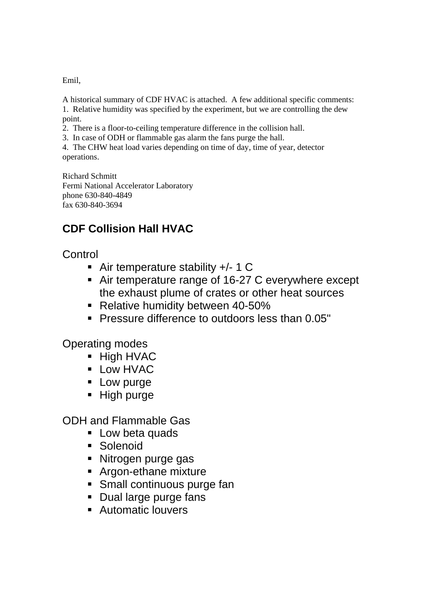Emil,

A historical summary of CDF HVAC is attached. A few additional specific comments: 1. Relative humidity was specified by the experiment, but we are controlling the dew point.

2. There is a floor-to-ceiling temperature difference in the collision hall.

3. In case of ODH or flammable gas alarm the fans purge the hall.

4. The CHW heat load varies depending on time of day, time of year, detector operations.

Richard Schmitt Fermi National Accelerator Laboratory phone 630-840-4849 fax 630-840-3694

## **CDF Collision Hall HVAC**

**Control** 

- Air temperature stability +/- 1 C
- Air temperature range of 16-27 C everywhere except the exhaust plume of crates or other heat sources
- Relative humidity between 40-50%
- **Pressure difference to outdoors less than 0.05"**

Operating modes

- **High HVAC**
- **Low HVAC**
- **Low purge**
- High purge

ODH and Flammable Gas

- **Low beta quads**
- **Solenoid**
- Nitrogen purge gas
- **Argon-ethane mixture**
- **Small continuous purge fan**
- **Dual large purge fans**
- **Automatic louvers**